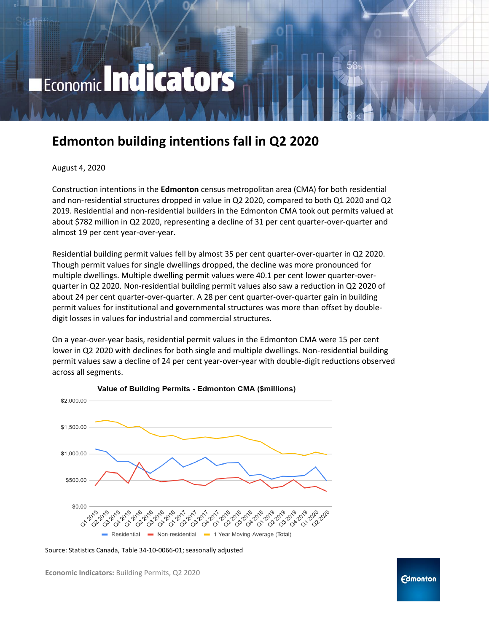# Economic Indicators

# **Edmonton building intentions fall in Q2 2020**

#### August 4, 2020

Construction intentions in the **Edmonton** census metropolitan area (CMA) for both residential and non-residential structures dropped in value in Q2 2020, compared to both Q1 2020 and Q2 2019. Residential and non-residential builders in the Edmonton CMA took out permits valued at about \$782 million in Q2 2020, representing a decline of 31 per cent quarter-over-quarter and almost 19 per cent year-over-year.

Residential building permit values fell by almost 35 per cent quarter-over-quarter in Q2 2020. Though permit values for single dwellings dropped, the decline was more pronounced for multiple dwellings. Multiple dwelling permit values were 40.1 per cent lower quarter-overquarter in Q2 2020. Non-residential building permit values also saw a reduction in Q2 2020 of about 24 per cent quarter-over-quarter. A 28 per cent quarter-over-quarter gain in building permit values for institutional and governmental structures was more than offset by doubledigit losses in values for industrial and commercial structures.

On a year-over-year basis, residential permit values in the Edmonton CMA were 15 per cent lower in Q2 2020 with declines for both single and multiple dwellings. Non-residential building permit values saw a decline of 24 per cent year-over-year with double-digit reductions observed across all segments.



Value of Building Permits - Edmonton CMA (\$millions)

**Economic Indicators:** Building Permits, Q2 2020

Source: Statistics Canada, Table 34-10-0066-01; seasonally adjusted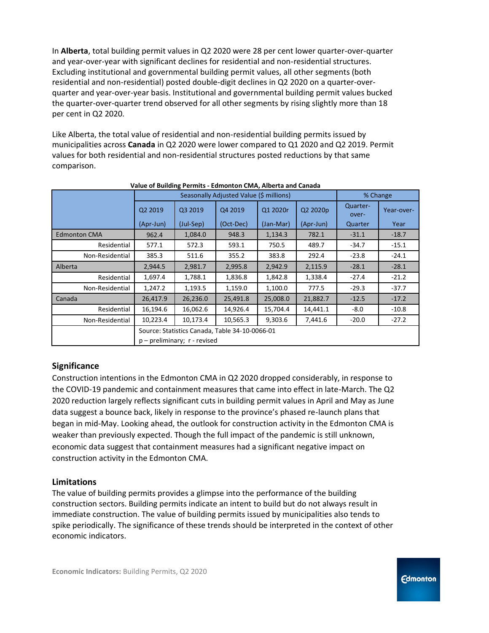In **Alberta**, total building permit values in Q2 2020 were 28 per cent lower quarter-over-quarter and year-over-year with significant declines for residential and non-residential structures. Excluding institutional and governmental building permit values, all other segments (both residential and non-residential) posted double-digit declines in Q2 2020 on a quarter-overquarter and year-over-year basis. Institutional and governmental building permit values bucked the quarter-over-quarter trend observed for all other segments by rising slightly more than 18 per cent in Q2 2020.

Like Alberta, the total value of residential and non-residential building permits issued by municipalities across **Canada** in Q2 2020 were lower compared to Q1 2020 and Q2 2019. Permit values for both residential and non-residential structures posted reductions by that same comparison.

| Value of Building Permits - Edimonton CiviA, Alberta and Canada |                                                |           |           |           |           |                   |            |
|-----------------------------------------------------------------|------------------------------------------------|-----------|-----------|-----------|-----------|-------------------|------------|
|                                                                 | Seasonally Adjusted Value (\$ millions)        |           |           |           |           | % Change          |            |
|                                                                 | Q2 2019                                        | Q3 2019   | Q4 2019   | Q1 2020r  | Q2 2020p  | Quarter-<br>over- | Year-over- |
|                                                                 | (Apr-Jun)                                      | (Jul-Sep) | (Oct-Dec) | (Jan-Mar) | (Apr-Jun) | Quarter           | Year       |
| <b>Edmonton CMA</b>                                             | 962.4                                          | 1,084.0   | 948.3     | 1,134.3   | 782.1     | $-31.1$           | $-18.7$    |
| Residential                                                     | 577.1                                          | 572.3     | 593.1     | 750.5     | 489.7     | $-34.7$           | $-15.1$    |
| Non-Residential                                                 | 385.3                                          | 511.6     | 355.2     | 383.8     | 292.4     | $-23.8$           | $-24.1$    |
| Alberta                                                         | 2,944.5                                        | 2,981.7   | 2,995.8   | 2,942.9   | 2,115.9   | $-28.1$           | $-28.1$    |
| Residential                                                     | 1,697.4                                        | 1,788.1   | 1,836.8   | 1,842.8   | 1,338.4   | $-27.4$           | $-21.2$    |
| Non-Residential                                                 | 1,247.2                                        | 1,193.5   | 1,159.0   | 1,100.0   | 777.5     | $-29.3$           | $-37.7$    |
| Canada                                                          | 26,417.9                                       | 26,236.0  | 25,491.8  | 25,008.0  | 21,882.7  | $-12.5$           | $-17.2$    |
| Residential                                                     | 16,194.6                                       | 16,062.6  | 14,926.4  | 15,704.4  | 14,441.1  | $-8.0$            | $-10.8$    |
| Non-Residential                                                 | 10,223.4                                       | 10,173.4  | 10,565.3  | 9,303.6   | 7,441.6   | $-20.0$           | $-27.2$    |
|                                                                 | Source: Statistics Canada, Table 34-10-0066-01 |           |           |           |           |                   |            |
|                                                                 | $p$ – preliminary; $r$ - revised               |           |           |           |           |                   |            |

#### **Value of Building Permits - Edmonton CMA, Alberta and Canada**

### **Significance**

Construction intentions in the Edmonton CMA in Q2 2020 dropped considerably, in response to the COVID-19 pandemic and containment measures that came into effect in late-March. The Q2 2020 reduction largely reflects significant cuts in building permit values in April and May as June data suggest a bounce back, likely in response to the province's phased re-launch plans that began in mid-May. Looking ahead, the outlook for construction activity in the Edmonton CMA is weaker than previously expected. Though the full impact of the pandemic is still unknown, economic data suggest that containment measures had a significant negative impact on construction activity in the Edmonton CMA.

#### **Limitations**

The value of building permits provides a glimpse into the performance of the building construction sectors. Building permits indicate an intent to build but do not always result in immediate construction. The value of building permits issued by municipalities also tends to spike periodically. The significance of these trends should be interpreted in the context of other economic indicators.